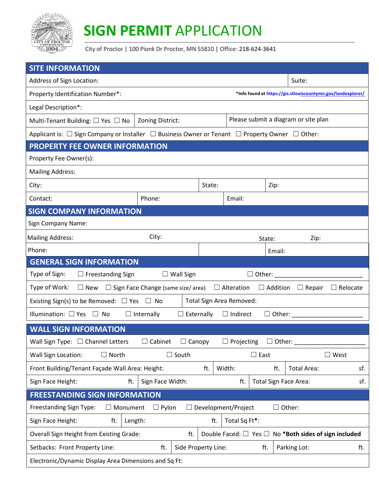

## **SIGN PERMIT** APPLICATION

City of Proctor | 100 Pionk Dr Proctor, MN 55810 | Office: 218-624-3641

| <b>SITE INFORMATION</b>                                                                                            |                                           |                     |                                      |                       |                                                                 |                  |  |
|--------------------------------------------------------------------------------------------------------------------|-------------------------------------------|---------------------|--------------------------------------|-----------------------|-----------------------------------------------------------------|------------------|--|
| Address of Sign Location:                                                                                          |                                           |                     |                                      |                       | Suite:                                                          |                  |  |
| Property Identification Number*:                                                                                   |                                           |                     |                                      |                       | *Info found at https://gis.stlouiscountymn.gov/landexplorer/    |                  |  |
| Legal Description*:                                                                                                |                                           |                     |                                      |                       |                                                                 |                  |  |
| Multi-Tenant Building: □ Yes □ No<br><b>Zoning District:</b>                                                       |                                           |                     | Please submit a diagram or site plan |                       |                                                                 |                  |  |
| Applicant is: $\Box$ Sign Company or Installer $\Box$ Business Owner or Tenant $\Box$ Property Owner $\Box$ Other: |                                           |                     |                                      |                       |                                                                 |                  |  |
| <b>PROPERTY FEE OWNER INFORMATION</b>                                                                              |                                           |                     |                                      |                       |                                                                 |                  |  |
| Property Fee Owner(s):                                                                                             |                                           |                     |                                      |                       |                                                                 |                  |  |
| <b>Mailing Address:</b>                                                                                            |                                           |                     |                                      |                       |                                                                 |                  |  |
| City:                                                                                                              |                                           | State:              |                                      | Zip:                  |                                                                 |                  |  |
| Contact:                                                                                                           | Phone:                                    |                     | Email:                               |                       |                                                                 |                  |  |
| <b>SIGN COMPANY INFORMATION</b>                                                                                    |                                           |                     |                                      |                       |                                                                 |                  |  |
| Sign Company Name:                                                                                                 |                                           |                     |                                      |                       |                                                                 |                  |  |
| <b>Mailing Address:</b>                                                                                            | City:                                     |                     |                                      | State:                | Zip:                                                            |                  |  |
| Phone:                                                                                                             |                                           |                     |                                      | Email:                |                                                                 |                  |  |
| <b>GENERAL SIGN INFORMATION</b>                                                                                    |                                           |                     |                                      |                       |                                                                 |                  |  |
| Type of Sign:<br>$\Box$ Freestanding Sign                                                                          | $\Box$ Wall Sign                          |                     |                                      | $\Box$ Other:         |                                                                 |                  |  |
| Type of Work:<br>$\Box$ New                                                                                        | $\Box$ Sign Face Change (same size/ area) |                     | $\Box$ Alteration                    | $\Box$ Addition       | $\Box$ Repair                                                   | $\Box$ Relocate  |  |
| Existing Sign(s) to be Removed: $\Box$ Yes $\Box$ No                                                               |                                           |                     | Total Sign Area Removed:             |                       |                                                                 |                  |  |
| Illumination: $\square$ Yes<br>$\Box$ No                                                                           | $\Box$ Internally                         | Externally          | $\Box$ Indirect                      | $\Box$ Other:         |                                                                 |                  |  |
| <b>WALL SIGN INFORMATION</b>                                                                                       |                                           |                     |                                      |                       |                                                                 |                  |  |
| Wall Sign Type: $\Box$ Channel Letters                                                                             | $\Box$ Cabinet<br>$\Box$ Canopy           |                     | Projecting                           | $\Box$ Other:         |                                                                 |                  |  |
| Wall Sign Location:<br>$\Box$ North                                                                                | $\Box$ South                              |                     |                                      | $\Box$ East           |                                                                 | $\sqsupset$ West |  |
| Front Building/Tenant Façade Wall Area: Height:                                                                    |                                           | Width:<br>ft.       |                                      | ft.                   | <b>Total Area:</b>                                              | sf.              |  |
| Sign Face Height:<br>ft.                                                                                           | Sign Face Width:                          |                     | ft.                                  | Total Sign Face Area: |                                                                 | sf.              |  |
| <b>FREESTANDING SIGN INFORMATION</b>                                                                               |                                           |                     |                                      |                       |                                                                 |                  |  |
| Freestanding Sign Type:<br>Monument                                                                                | $\Box$ Pylon                              |                     | Development/Project                  | $\Box$ Other:         |                                                                 |                  |  |
| Sign Face Height:<br>ft.                                                                                           | Length:                                   | ft.                 | Total Sq Ft*:                        |                       |                                                                 |                  |  |
| Overall Sign Height from Existing Grade:                                                                           | ft.                                       |                     |                                      |                       | Double Faced: $\Box$ Yes $\Box$ No *Both sides of sign included |                  |  |
| Setbacks: Front Property Line:                                                                                     | ft.                                       | Side Property Line: |                                      | ft.                   | Parking Lot:                                                    | ft.              |  |
| Electronic/Dynamic Display Area Dimensions and Sq Ft:                                                              |                                           |                     |                                      |                       |                                                                 |                  |  |